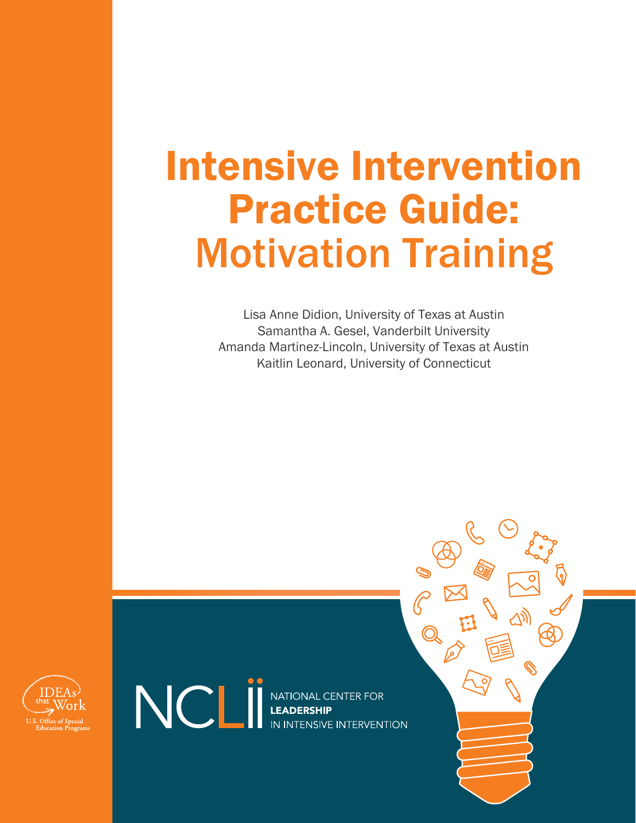# Intensive Intervention Practice Guide: Motivation Training

Lisa Anne Didion, University of Texas at Austin Samantha A. Gesel, Vanderbilt University Amanda Martinez-Lincoln, University of Texas at Austin Kaitlin Leonard, University of Connecticut



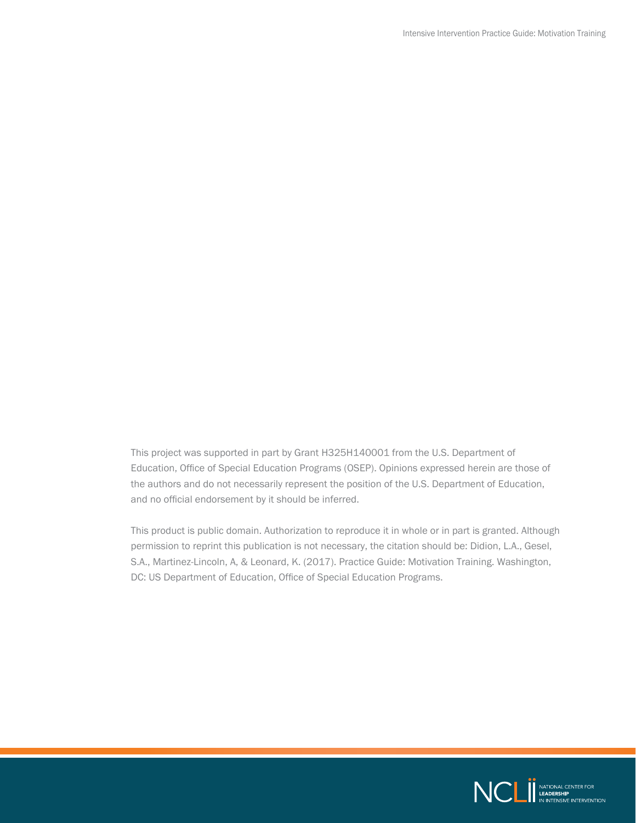This project was supported in part by Grant H325H140001 from the U.S. Department of Education, Office of Special Education Programs (OSEP). Opinions expressed herein are those of the authors and do not necessarily represent the position of the U.S. Department of Education, and no official endorsement by it should be inferred.

This product is public domain. Authorization to reproduce it in whole or in part is granted. Although permission to reprint this publication is not necessary, the citation should be: Didion, L.A., Gesel, S.A., Martinez-Lincoln, A, & Leonard, K. (2017). Practice Guide: Motivation Training. Washington, DC: US Department of Education, Office of Special Education Programs.

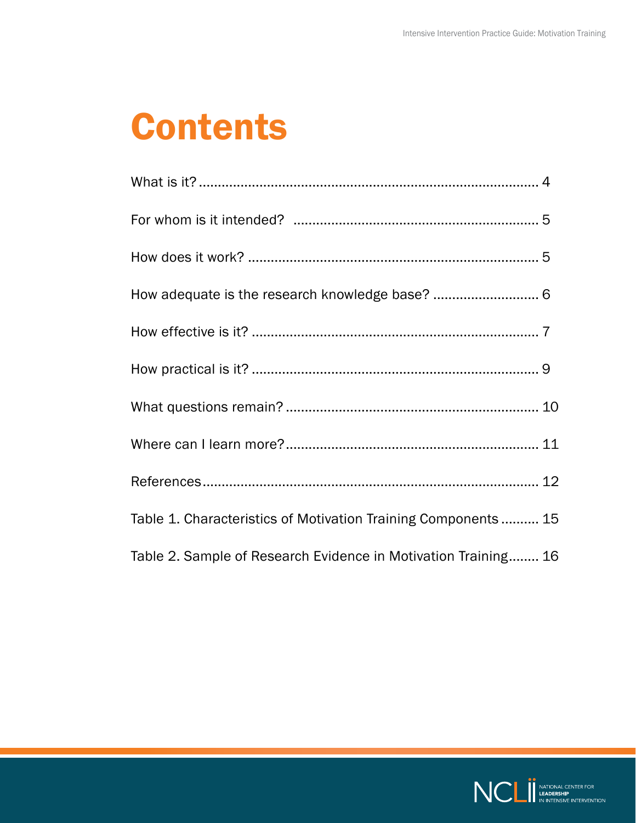## **Contents**

| Table 1. Characteristics of Motivation Training Components 15  |  |
|----------------------------------------------------------------|--|
| Table 2. Sample of Research Evidence in Motivation Training 16 |  |

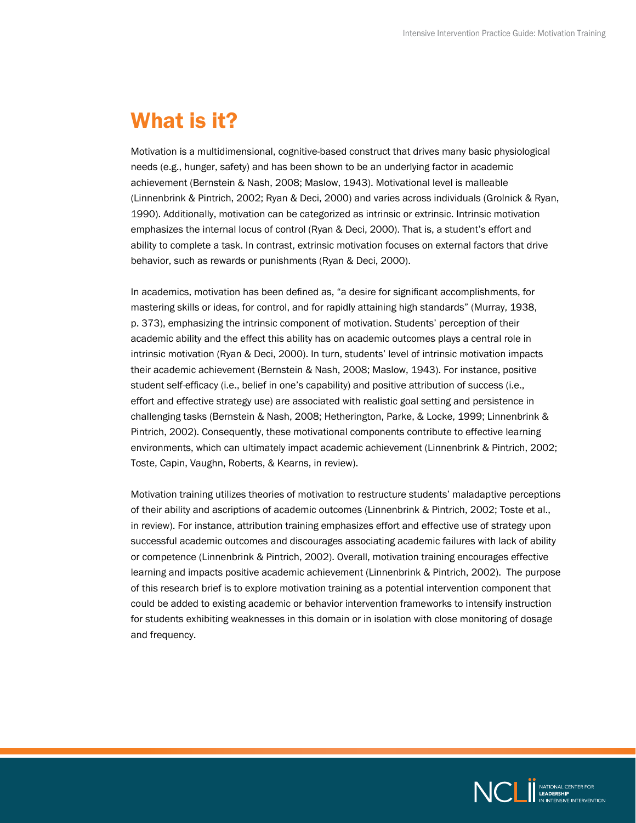#### <span id="page-3-0"></span>What is it?

Motivation is a multidimensional, cognitive-based construct that drives many basic physiological needs (e.g., hunger, safety) and has been shown to be an underlying factor in academic achievement (Bernstein & Nash, 2008; Maslow, 1943). Motivational level is malleable (Linnenbrink & Pintrich, 2002; Ryan & Deci, 2000) and varies across individuals (Grolnick & Ryan, 1990). Additionally, motivation can be categorized as intrinsic or extrinsic. Intrinsic motivation emphasizes the internal locus of control (Ryan & Deci, 2000). That is, a student's effort and ability to complete a task. In contrast, extrinsic motivation focuses on external factors that drive behavior, such as rewards or punishments (Ryan & Deci, 2000).

In academics, motivation has been defined as, "a desire for significant accomplishments, for mastering skills or ideas, for control, and for rapidly attaining high standards" (Murray, 1938, p. 373), emphasizing the intrinsic component of motivation. Students' perception of their academic ability and the effect this ability has on academic outcomes plays a central role in intrinsic motivation (Ryan & Deci, 2000). In turn, students' level of intrinsic motivation impacts their academic achievement (Bernstein & Nash, 2008; Maslow, 1943). For instance, positive student self-efficacy (i.e., belief in one's capability) and positive attribution of success (i.e., effort and effective strategy use) are associated with realistic goal setting and persistence in challenging tasks (Bernstein & Nash, 2008; Hetherington, Parke, & Locke, 1999; Linnenbrink & Pintrich, 2002). Consequently, these motivational components contribute to effective learning environments, which can ultimately impact academic achievement (Linnenbrink & Pintrich, 2002; Toste, Capin, Vaughn, Roberts, & Kearns, in review).

Motivation training utilizes theories of motivation to restructure students' maladaptive perceptions of their ability and ascriptions of academic outcomes (Linnenbrink & Pintrich, 2002; Toste et al., in review). For instance, attribution training emphasizes effort and effective use of strategy upon successful academic outcomes and discourages associating academic failures with lack of ability or competence (Linnenbrink & Pintrich, 2002). Overall, motivation training encourages effective learning and impacts positive academic achievement (Linnenbrink & Pintrich, 2002). The purpose of this research brief is to explore motivation training as a potential intervention component that could be added to existing academic or behavior intervention frameworks to intensify instruction for students exhibiting weaknesses in this domain or in isolation with close monitoring of dosage and frequency.

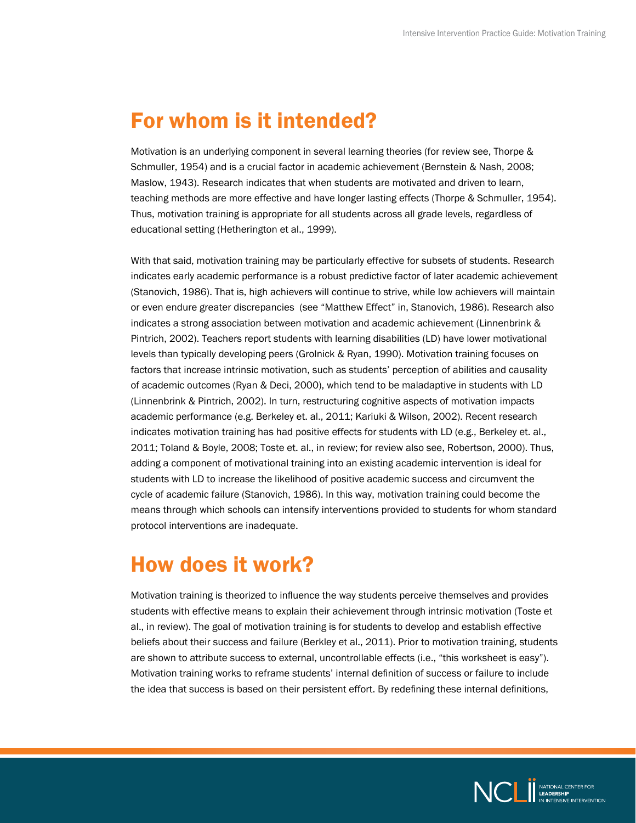#### <span id="page-4-0"></span>For whom is it intended?

Motivation is an underlying component in several learning theories (for review see, Thorpe & Schmuller, 1954) and is a crucial factor in academic achievement (Bernstein & Nash, 2008; Maslow, 1943). Research indicates that when students are motivated and driven to learn, teaching methods are more effective and have longer lasting effects (Thorpe & Schmuller, 1954). Thus, motivation training is appropriate for all students across all grade levels, regardless of educational setting (Hetherington et al., 1999).

With that said, motivation training may be particularly effective for subsets of students. Research indicates early academic performance is a robust predictive factor of later academic achievement (Stanovich, 1986). That is, high achievers will continue to strive, while low achievers will maintain or even endure greater discrepancies (see "Matthew Effect" in, Stanovich, 1986). Research also indicates a strong association between motivation and academic achievement (Linnenbrink & Pintrich, 2002). Teachers report students with learning disabilities (LD) have lower motivational levels than typically developing peers (Grolnick & Ryan, 1990). Motivation training focuses on factors that increase intrinsic motivation, such as students' perception of abilities and causality of academic outcomes (Ryan & Deci, 2000), which tend to be maladaptive in students with LD (Linnenbrink & Pintrich, 2002). In turn, restructuring cognitive aspects of motivation impacts academic performance (e.g. Berkeley et. al., 2011; Kariuki & Wilson, 2002). Recent research indicates motivation training has had positive effects for students with LD (e.g., Berkeley et. al., 2011; Toland & Boyle, 2008; Toste et. al., in review; for review also see, Robertson, 2000). Thus, adding a component of motivational training into an existing academic intervention is ideal for students with LD to increase the likelihood of positive academic success and circumvent the cycle of academic failure (Stanovich, 1986). In this way, motivation training could become the means through which schools can intensify interventions provided to students for whom standard protocol interventions are inadequate.

#### How does it work?

Motivation training is theorized to influence the way students perceive themselves and provides students with effective means to explain their achievement through intrinsic motivation (Toste et al., in review). The goal of motivation training is for students to develop and establish effective beliefs about their success and failure (Berkley et al., 2011). Prior to motivation training, students are shown to attribute success to external, uncontrollable effects (i.e., "this worksheet is easy"). Motivation training works to reframe students' internal definition of success or failure to include the idea that success is based on their persistent effort. By redefining these internal definitions,

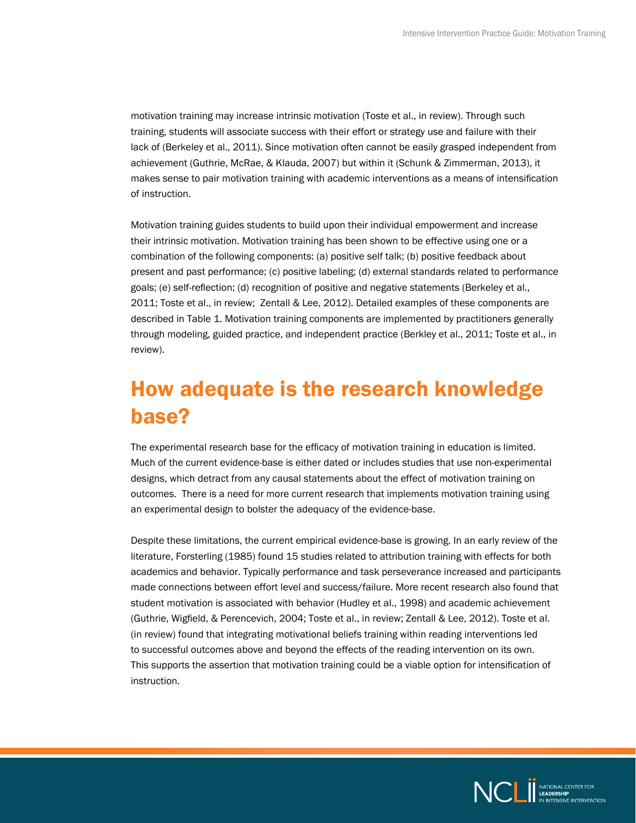<span id="page-5-0"></span>motivation training may increase intrinsic motivation (Toste et al., in review). Through such training, students will associate success with their effort or strategy use and failure with their lack of (Berkeley et al., 2011). Since motivation often cannot be easily grasped independent from achievement (Guthrie, McRae, & Klauda, 2007) but within it (Schunk & Zimmerman, 2013), it makes sense to pair motivation training with academic interventions as a means of intensification of instruction.

Motivation training guides students to build upon their individual empowerment and increase their intrinsic motivation. Motivation training has been shown to be effective using one or a combination of the following components: (a) positive self talk; (b) positive feedback about present and past performance; (c) positive labeling; (d) external standards related to performance goals; (e) self-reflection; (d) recognition of positive and negative statements (Berkeley et al., 2011; Toste et al., in review; Zentall & Lee, 2012). Detailed examples of these components are described in Table 1. Motivation training components are implemented by practitioners generally through modeling, guided practice, and independent practice (Berkley et al., 2011; Toste et al., in review).

#### How adequate is the research knowledge base?

The experimental research base for the efficacy of motivation training in education is limited. Much of the current evidence-base is either dated or includes studies that use non-experimental designs, which detract from any causal statements about the effect of motivation training on outcomes. There is a need for more current research that implements motivation training using an experimental design to bolster the adequacy of the evidence-base.

Despite these limitations, the current empirical evidence-base is growing. In an early review of the literature, Forsterling (1985) found 15 studies related to attribution training with effects for both academics and behavior. Typically performance and task perseverance increased and participants made connections between effort level and success/failure. More recent research also found that student motivation is associated with behavior (Hudley et al., 1998) and academic achievement (Guthrie, Wigfield, & Perencevich, 2004; Toste et al., in review; Zentall & Lee, 2012). Toste et al. (in review) found that integrating motivational beliefs training within reading interventions led to successful outcomes above and beyond the effects of the reading intervention on its own. This supports the assertion that motivation training could be a viable option for intensification of instruction.

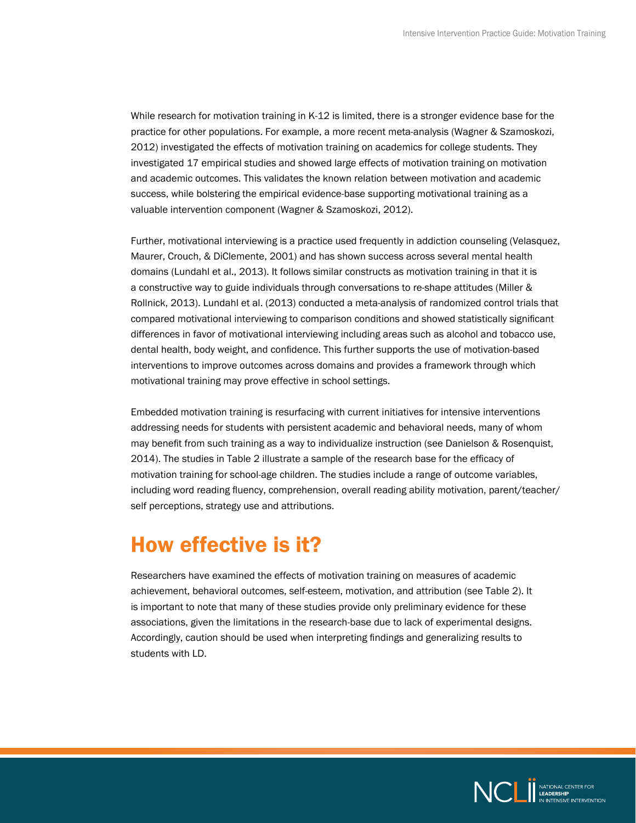<span id="page-6-0"></span>While research for motivation training in K-12 is limited, there is a stronger evidence base for the practice for other populations. For example, a more recent meta-analysis (Wagner & Szamoskozi, 2012) investigated the effects of motivation training on academics for college students. They investigated 17 empirical studies and showed large effects of motivation training on motivation and academic outcomes. This validates the known relation between motivation and academic success, while bolstering the empirical evidence-base supporting motivational training as a valuable intervention component (Wagner & Szamoskozi, 2012).

Further, motivational interviewing is a practice used frequently in addiction counseling (Velasquez, Maurer, Crouch, & DiClemente, 2001) and has shown success across several mental health domains (Lundahl et al., 2013). It follows similar constructs as motivation training in that it is a constructive way to guide individuals through conversations to re-shape attitudes (Miller & Rollnick, 2013). Lundahl et al. (2013) conducted a meta-analysis of randomized control trials that compared motivational interviewing to comparison conditions and showed statistically significant differences in favor of motivational interviewing including areas such as alcohol and tobacco use, dental health, body weight, and confidence. This further supports the use of motivation-based interventions to improve outcomes across domains and provides a framework through which motivational training may prove effective in school settings.

Embedded motivation training is resurfacing with current initiatives for intensive interventions addressing needs for students with persistent academic and behavioral needs, many of whom may benefit from such training as a way to individualize instruction (see Danielson & Rosenquist, 2014). The studies in Table 2 illustrate a sample of the research base for the efficacy of motivation training for school-age children. The studies include a range of outcome variables, including word reading fluency, comprehension, overall reading ability motivation, parent/teacher/ self perceptions, strategy use and attributions.

#### How effective is it?

Researchers have examined the effects of motivation training on measures of academic achievement, behavioral outcomes, self-esteem, motivation, and attribution (see Table 2). It is important to note that many of these studies provide only preliminary evidence for these associations, given the limitations in the research-base due to lack of experimental designs. Accordingly, caution should be used when interpreting findings and generalizing results to students with LD.

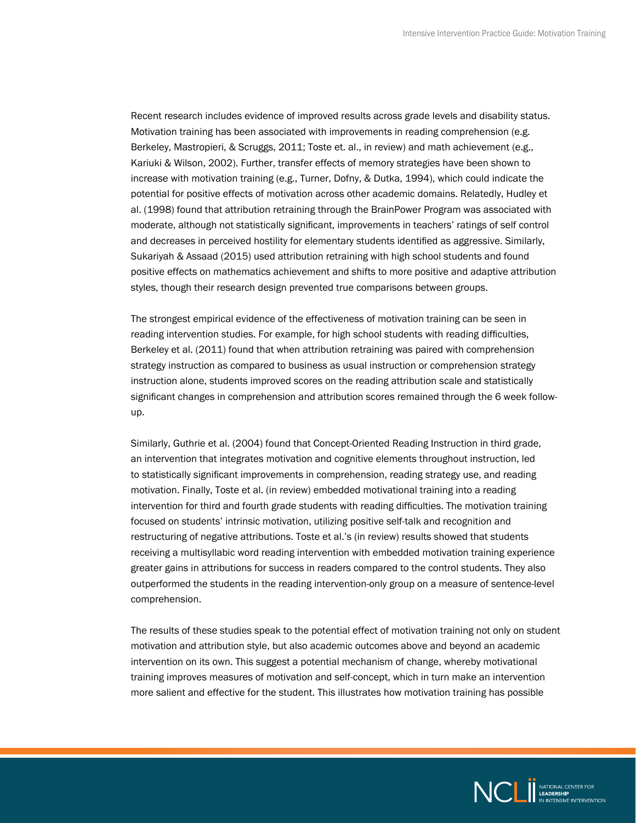Recent research includes evidence of improved results across grade levels and disability status. Motivation training has been associated with improvements in reading comprehension (e.g. Berkeley, Mastropieri, & Scruggs, 2011; Toste et. al., in review) and math achievement (e.g., Kariuki & Wilson, 2002). Further, transfer effects of memory strategies have been shown to increase with motivation training (e.g., Turner, Dofny, & Dutka, 1994), which could indicate the potential for positive effects of motivation across other academic domains. Relatedly, Hudley et al. (1998) found that attribution retraining through the BrainPower Program was associated with moderate, although not statistically significant, improvements in teachers' ratings of self control and decreases in perceived hostility for elementary students identified as aggressive. Similarly, Sukariyah & Assaad (2015) used attribution retraining with high school students and found positive effects on mathematics achievement and shifts to more positive and adaptive attribution styles, though their research design prevented true comparisons between groups.

The strongest empirical evidence of the effectiveness of motivation training can be seen in reading intervention studies. For example, for high school students with reading difficulties, Berkeley et al. (2011) found that when attribution retraining was paired with comprehension strategy instruction as compared to business as usual instruction or comprehension strategy instruction alone, students improved scores on the reading attribution scale and statistically significant changes in comprehension and attribution scores remained through the 6 week followup.

Similarly, Guthrie et al. (2004) found that Concept-Oriented Reading Instruction in third grade, an intervention that integrates motivation and cognitive elements throughout instruction, led to statistically significant improvements in comprehension, reading strategy use, and reading motivation. Finally, Toste et al. (in review) embedded motivational training into a reading intervention for third and fourth grade students with reading difficulties. The motivation training focused on students' intrinsic motivation, utilizing positive self-talk and recognition and restructuring of negative attributions. Toste et al.'s (in review) results showed that students receiving a multisyllabic word reading intervention with embedded motivation training experience greater gains in attributions for success in readers compared to the control students. They also outperformed the students in the reading intervention-only group on a measure of sentence-level comprehension.

The results of these studies speak to the potential effect of motivation training not only on student motivation and attribution style, but also academic outcomes above and beyond an academic intervention on its own. This suggest a potential mechanism of change, whereby motivational training improves measures of motivation and self-concept, which in turn make an intervention more salient and effective for the student. This illustrates how motivation training has possible

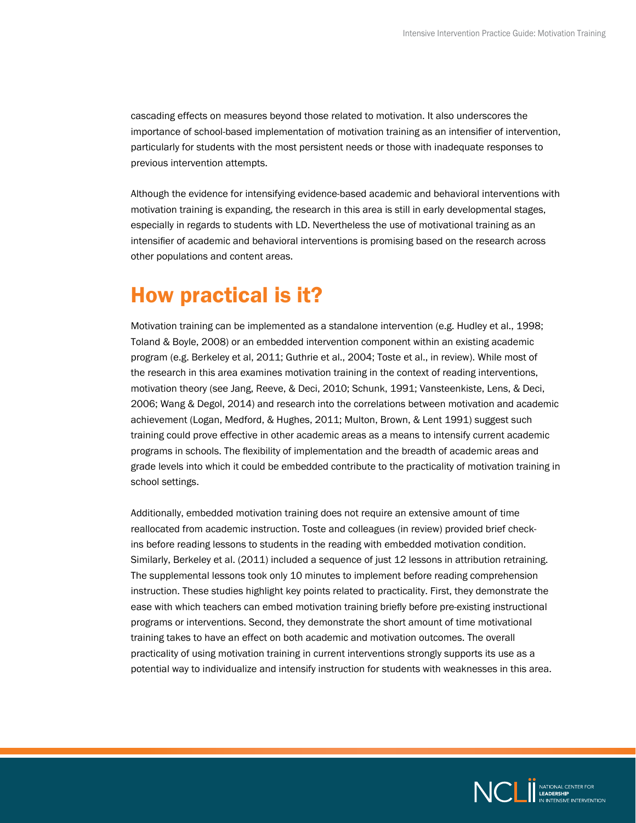<span id="page-8-0"></span>cascading effects on measures beyond those related to motivation. It also underscores the importance of school-based implementation of motivation training as an intensifier of intervention, particularly for students with the most persistent needs or those with inadequate responses to previous intervention attempts.

Although the evidence for intensifying evidence-based academic and behavioral interventions with motivation training is expanding, the research in this area is still in early developmental stages, especially in regards to students with LD. Nevertheless the use of motivational training as an intensifier of academic and behavioral interventions is promising based on the research across other populations and content areas.

#### How practical is it?

Motivation training can be implemented as a standalone intervention (e.g. Hudley et al., 1998; Toland & Boyle, 2008) or an embedded intervention component within an existing academic program (e.g. Berkeley et al, 2011; Guthrie et al., 2004; Toste et al., in review). While most of the research in this area examines motivation training in the context of reading interventions, motivation theory (see Jang, Reeve, & Deci, 2010; Schunk, 1991; Vansteenkiste, Lens, & Deci, 2006; Wang & Degol, 2014) and research into the correlations between motivation and academic achievement (Logan, Medford, & Hughes, 2011; Multon, Brown, & Lent 1991) suggest such training could prove effective in other academic areas as a means to intensify current academic programs in schools. The flexibility of implementation and the breadth of academic areas and grade levels into which it could be embedded contribute to the practicality of motivation training in school settings.

Additionally, embedded motivation training does not require an extensive amount of time reallocated from academic instruction. Toste and colleagues (in review) provided brief checkins before reading lessons to students in the reading with embedded motivation condition. Similarly, Berkeley et al. (2011) included a sequence of just 12 lessons in attribution retraining. The supplemental lessons took only 10 minutes to implement before reading comprehension instruction. These studies highlight key points related to practicality. First, they demonstrate the ease with which teachers can embed motivation training briefly before pre-existing instructional programs or interventions. Second, they demonstrate the short amount of time motivational training takes to have an effect on both academic and motivation outcomes. The overall practicality of using motivation training in current interventions strongly supports its use as a potential way to individualize and intensify instruction for students with weaknesses in this area.

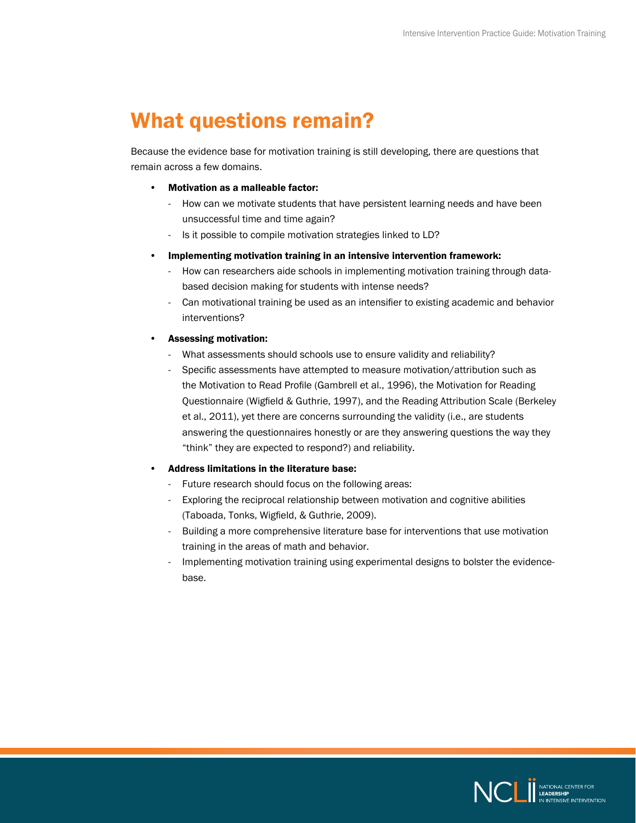#### <span id="page-9-0"></span>What questions remain?

Because the evidence base for motivation training is still developing, there are questions that remain across a few domains.

- Motivation as a malleable factor:
	- How can we motivate students that have persistent learning needs and have been unsuccessful time and time again?
	- Is it possible to compile motivation strategies linked to LD?
- Implementing motivation training in an intensive intervention framework:
	- How can researchers aide schools in implementing motivation training through databased decision making for students with intense needs?
	- Can motivational training be used as an intensifier to existing academic and behavior interventions?
- Assessing motivation:
	- What assessments should schools use to ensure validity and reliability?
	- Specific assessments have attempted to measure motivation/attribution such as the Motivation to Read Profile (Gambrell et al., 1996), the Motivation for Reading Questionnaire (Wigfield & Guthrie, 1997), and the Reading Attribution Scale (Berkeley et al., 2011), yet there are concerns surrounding the validity (i.e., are students answering the questionnaires honestly or are they answering questions the way they "think" they are expected to respond?) and reliability.

#### • Address limitations in the literature base:

- Future research should focus on the following areas:
- Exploring the reciprocal relationship between motivation and cognitive abilities (Taboada, Tonks, Wigfield, & Guthrie, 2009).
- Building a more comprehensive literature base for interventions that use motivation training in the areas of math and behavior.
- Implementing motivation training using experimental designs to bolster the evidencebase.

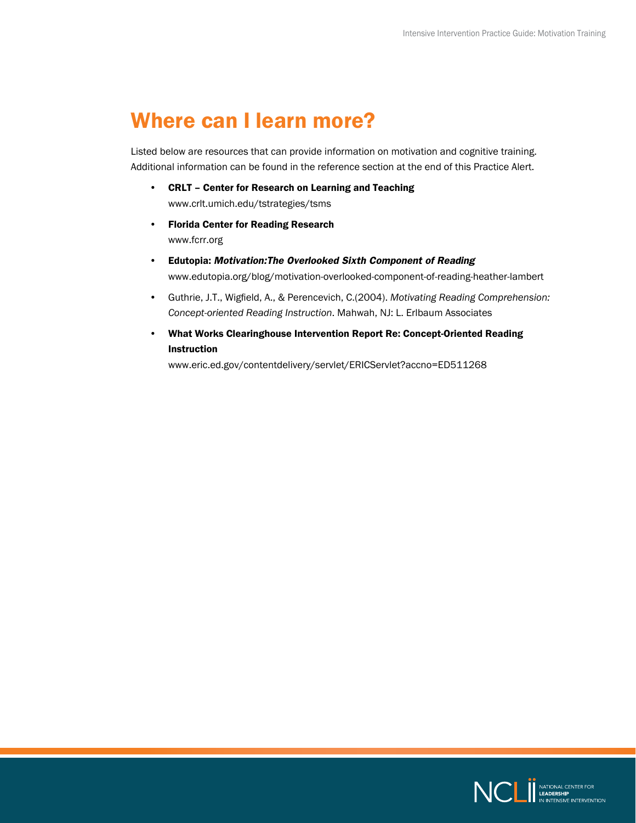#### <span id="page-10-0"></span>Where can I learn more?

Listed below are resources that can provide information on motivation and cognitive training. Additional information can be found in the reference section at the end of this Practice Alert.

- CRLT Center for Research on Learning and Teaching [www.crlt.umich.edu/tstrategies/tsms](http://www.crlt.umich.edu/tstrategies/tsms)
- Florida Center for Reading Research [www.fcrr.org](http://www.fcrr.org)
- Edutopia: *Motivation:The Overlooked Sixth Component of Reading* [www.edutopia.org/blog/motivation-overlooked-component-of-reading-heather-lambert](http://www.edutopia.org/blog/motivation-overlooked-component-of-reading-heather-lambert)
- Guthrie, J.T., Wigfield, A., & Perencevich, C.(2004). *Motivating Reading Comprehension: Concept-oriented Reading Instruction*. Mahwah, NJ: L. Erlbaum Associates
- What Works Clearinghouse Intervention Report Re: Concept-Oriented Reading Instruction

[www.eric.ed.gov/contentdelivery/servlet/ERICServlet?accno=ED511268](http://www.eric.ed.gov/contentdelivery/servlet/ERICServlet?accno=ED511268)

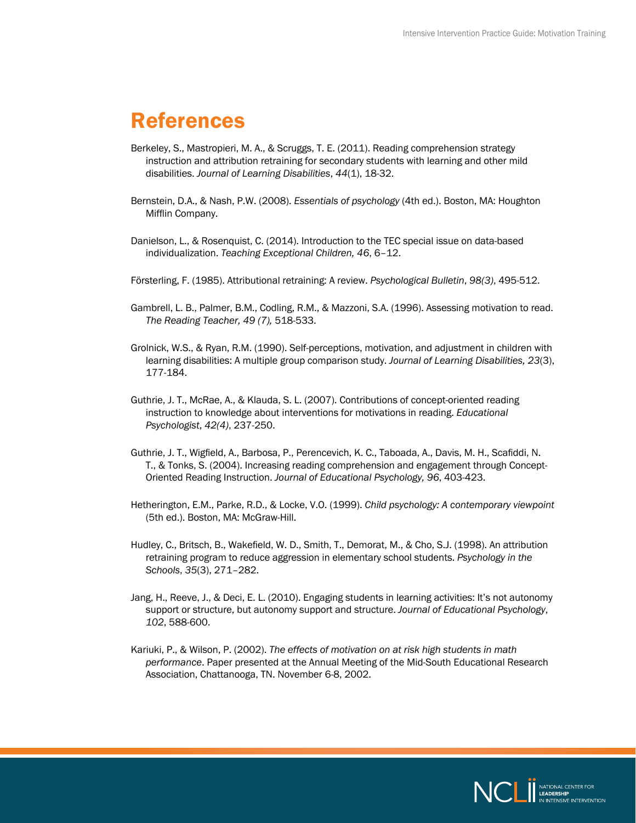#### <span id="page-11-0"></span>References

- Berkeley, S., Mastropieri, M. A., & Scruggs, T. E. (2011). Reading comprehension strategy instruction and attribution retraining for secondary students with learning and other mild disabilities. *Journal of Learning Disabilities*, *44*(1), 18-32.
- Bernstein, D.A., & Nash, P.W. (2008). *Essentials of psychology* (4th ed.). Boston, MA: Houghton Mifflin Company.
- Danielson, L., & Rosenquist, C. (2014). Introduction to the TEC special issue on data-based individualization. *Teaching Exceptional Children, 46*, 6–12.
- Försterling, F. (1985). Attributional retraining: A review. *Psychological Bulletin*, *98(3)*, 495-512.
- Gambrell, L. B., Palmer, B.M., Codling, R.M., & Mazzoni, S.A. (1996). Assessing motivation to read. *The Reading Teacher, 49 (7),* 518-533.
- Grolnick, W.S., & Ryan, R.M. (1990). Self-perceptions, motivation, and adjustment in children with learning disabilities: A multiple group comparison study. *Journal of Learning Disabilities, 23*(3), 177-184.
- Guthrie, J. T., McRae, A., & Klauda, S. L. (2007). Contributions of concept-oriented reading instruction to knowledge about interventions for motivations in reading. *Educational Psychologist*, *42(4)*, 237-250.
- Guthrie, J. T., Wigfield, A., Barbosa, P., Perencevich, K. C., Taboada, A., Davis, M. H., Scafiddi, N. T., & Tonks, S. (2004). Increasing reading comprehension and engagement through Concept-Oriented Reading Instruction. *Journal of Educational Psychology, 96*, 403-423.
- Hetherington, E.M., Parke, R.D., & Locke, V.O. (1999). *Child psychology: A contemporary viewpoint* (5th ed.). Boston, MA: McGraw-Hill.
- Hudley, C., Britsch, B., Wakefield, W. D., Smith, T., Demorat, M., & Cho, S.J. (1998). An attribution retraining program to reduce aggression in elementary school students. *Psychology in the Schools*, *35*(3), 271–282.
- Jang, H., Reeve, J., & Deci, E. L. (2010). Engaging students in learning activities: It's not autonomy support or structure, but autonomy support and structure. *Journal of Educational Psychology*, *102*, 588-600.
- Kariuki, P., & Wilson, P. (2002). *The effects of motivation on at risk high students in math performance*. Paper presented at the Annual Meeting of the Mid-South Educational Research Association, Chattanooga, TN. November 6-8, 2002.

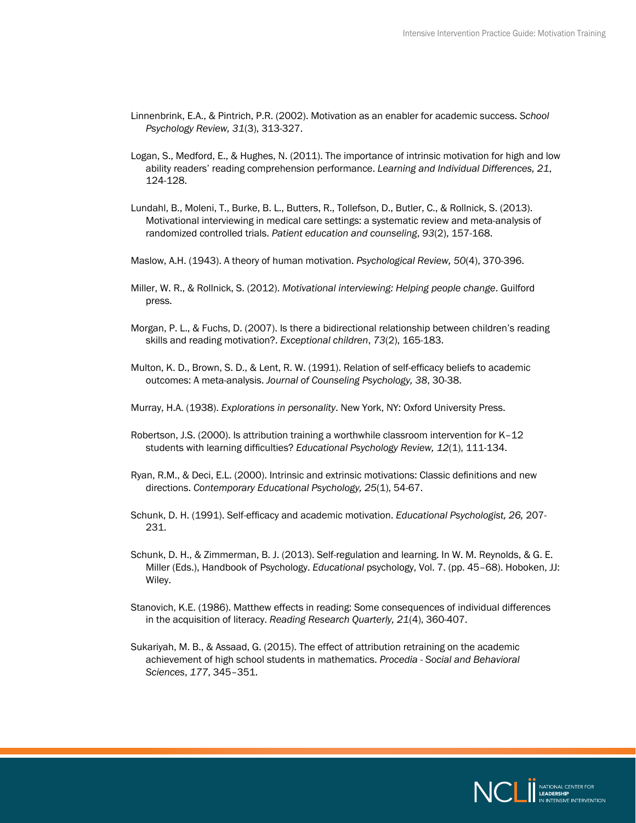- Linnenbrink, E.A., & Pintrich, P.R. (2002). Motivation as an enabler for academic success. *School Psychology Review, 31*(3), 313-327.
- Logan, S., Medford, E., & Hughes, N. (2011). The importance of intrinsic motivation for high and low ability readers' reading comprehension performance. *Learning and Individual Differences, 21*, 124-128.
- Lundahl, B., Moleni, T., Burke, B. L., Butters, R., Tollefson, D., Butler, C., & Rollnick, S. (2013). Motivational interviewing in medical care settings: a systematic review and meta-analysis of randomized controlled trials. *Patient education and counseling*, *93*(2), 157-168.
- Maslow, A.H. (1943). A theory of human motivation. *Psychological Review, 50*(4), 370-396.
- Miller, W. R., & Rollnick, S. (2012). *Motivational interviewing: Helping people change*. Guilford press.
- Morgan, P. L., & Fuchs, D. (2007). Is there a bidirectional relationship between children's reading skills and reading motivation?. *Exceptional children*, *73*(2), 165-183.
- Multon, K. D., Brown, S. D., & Lent, R. W. (1991). Relation of self-efficacy beliefs to academic outcomes: A meta-analysis. *Journal of Counseling Psychology, 38*, 30-38.
- Murray, H.A. (1938). *Explorations in personality*. New York, NY: Oxford University Press.
- Robertson, J.S. (2000). Is attribution training a worthwhile classroom intervention for K–12 students with learning difficulties? *Educational Psychology Review, 12*(1), 111-134.
- Ryan, R.M., & Deci, E.L. (2000). Intrinsic and extrinsic motivations: Classic definitions and new directions. *Contemporary Educational Psychology, 25*(1), 54-67.
- Schunk, D. H. (1991). Self-efficacy and academic motivation. *Educational Psychologist, 26,* 207- 231.
- Schunk, D. H., & Zimmerman, B. J. (2013). Self-regulation and learning. In W. M. Reynolds, & G. E. Miller (Eds.), Handbook of Psychology. *Educational* psychology, Vol. 7. (pp. 45–68). Hoboken, JJ: Wiley.
- Stanovich, K.E. (1986). Matthew effects in reading: Some consequences of individual differences in the acquisition of literacy. *Reading Research Quarterly, 21*(4), 360-407.
- Sukariyah, M. B., & Assaad, G. (2015). The effect of attribution retraining on the academic achievement of high school students in mathematics. *Procedia - Social and Behavioral Sciences*, *177*, 345–351.

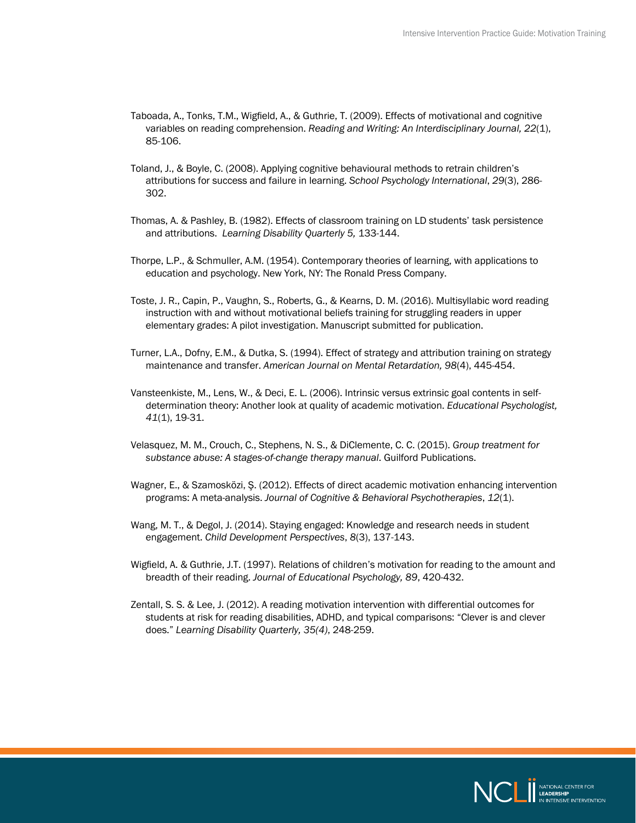- Taboada, A., Tonks, T.M., Wigfield, A., & Guthrie, T. (2009). Effects of motivational and cognitive variables on reading comprehension. *Reading and Writing: An Interdisciplinary Journal, 22*(1), 85-106.
- Toland, J., & Boyle, C. (2008). Applying cognitive behavioural methods to retrain children's attributions for success and failure in learning. *School Psychology International*, *29*(3), 286- 302.
- Thomas, A. & Pashley, B. (1982). Effects of classroom training on LD students' task persistence and attributions. *Learning Disability Quarterly 5,* 133-144.
- Thorpe, L.P., & Schmuller, A.M. (1954). Contemporary theories of learning, with applications to education and psychology. New York, NY: The Ronald Press Company.
- Toste, J. R., Capin, P., Vaughn, S., Roberts, G., & Kearns, D. M. (2016). Multisyllabic word reading instruction with and without motivational beliefs training for struggling readers in upper elementary grades: A pilot investigation. Manuscript submitted for publication.
- Turner, L.A., Dofny, E.M., & Dutka, S. (1994). Effect of strategy and attribution training on strategy maintenance and transfer. *American Journal on Mental Retardation, 98*(4), 445-454.
- Vansteenkiste, M., Lens, W., & Deci, E. L. (2006). Intrinsic versus extrinsic goal contents in selfdetermination theory: Another look at quality of academic motivation. *Educational Psychologist, 41*(1), 19-31.
- Velasquez, M. M., Crouch, C., Stephens, N. S., & DiClemente, C. C. (2015). *Group treatment for substance abuse: A stages-of-change therapy manual*. Guilford Publications.
- Wagner, E., & Szamosközi, Ş. (2012). Effects of direct academic motivation enhancing intervention programs: A meta-analysis. *Journal of Cognitive & Behavioral Psychotherapies*, *12*(1).
- Wang, M. T., & Degol, J. (2014). Staying engaged: Knowledge and research needs in student engagement. *Child Development Perspectives*, *8*(3), 137-143.
- Wigfield, A. & Guthrie, J.T. (1997). Relations of children's motivation for reading to the amount and breadth of their reading. *Journal of Educational Psychology, 89*, 420-432.
- Zentall, S. S. & Lee, J. (2012). A reading motivation intervention with differential outcomes for students at risk for reading disabilities, ADHD, and typical comparisons: "Clever is and clever does." *Learning Disability Quarterly, 35(4)*, 248-259.

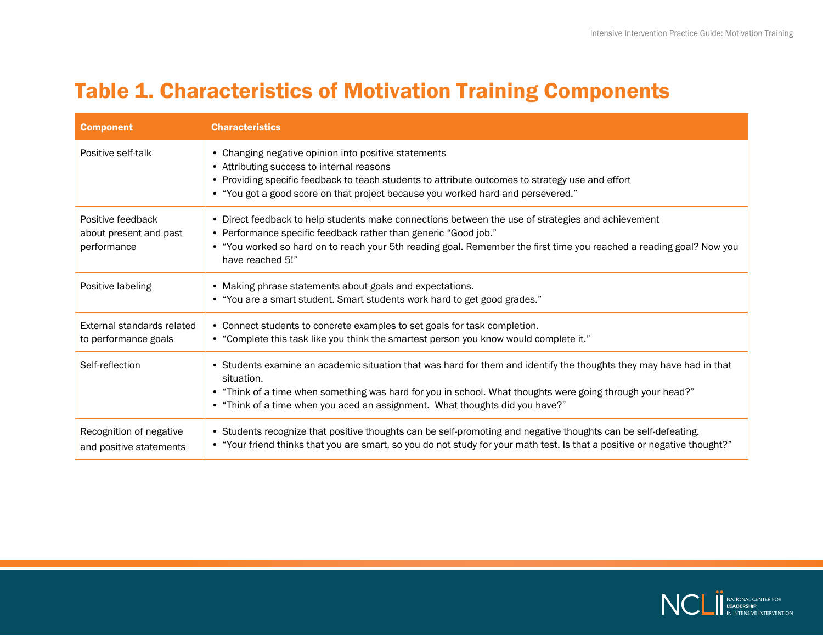### <span id="page-14-0"></span>Table 1. Characteristics of Motivation Training Components

| <b>Component</b>                                           | <b>Characteristics</b>                                                                                                                                                                                                                                                                                                          |
|------------------------------------------------------------|---------------------------------------------------------------------------------------------------------------------------------------------------------------------------------------------------------------------------------------------------------------------------------------------------------------------------------|
| Positive self-talk                                         | • Changing negative opinion into positive statements<br>• Attributing success to internal reasons<br>• Providing specific feedback to teach students to attribute outcomes to strategy use and effort<br>• "You got a good score on that project because you worked hard and persevered."                                       |
| Positive feedback<br>about present and past<br>performance | • Direct feedback to help students make connections between the use of strategies and achievement<br>• Performance specific feedback rather than generic "Good job."<br>• "You worked so hard on to reach your 5th reading goal. Remember the first time you reached a reading goal? Now you<br>have reached 5!"                |
| Positive labeling                                          | • Making phrase statements about goals and expectations.<br>• "You are a smart student. Smart students work hard to get good grades."                                                                                                                                                                                           |
| External standards related<br>to performance goals         | • Connect students to concrete examples to set goals for task completion.<br>• "Complete this task like you think the smartest person you know would complete it."                                                                                                                                                              |
| Self-reflection                                            | • Students examine an academic situation that was hard for them and identify the thoughts they may have had in that<br>situation.<br>• "Think of a time when something was hard for you in school. What thoughts were going through your head?"<br>• "Think of a time when you aced an assignment. What thoughts did you have?" |
| Recognition of negative<br>and positive statements         | • Students recognize that positive thoughts can be self-promoting and negative thoughts can be self-defeating.<br>• "Your friend thinks that you are smart, so you do not study for your math test. Is that a positive or negative thought?"                                                                                    |